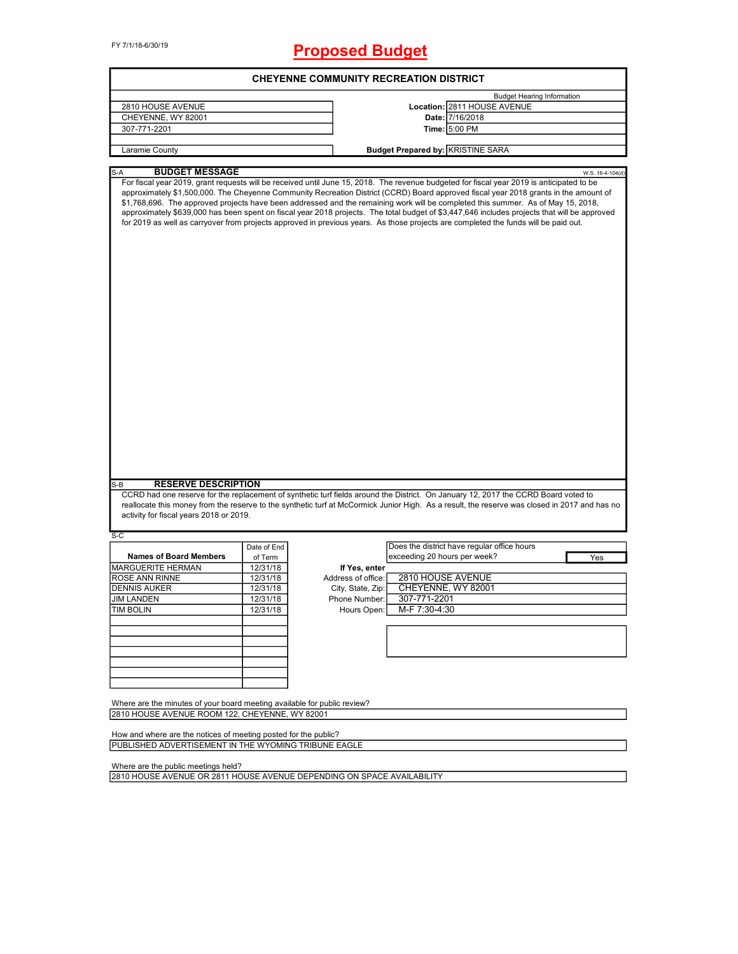FY 7/1/18-6/30/19

# **Proposed Budget**

| <b>CHEYENNE COMMUNITY RECREATION DISTRICT</b>                            |             |                    |                                                                                                                                                                                                                                                                                                                                                                                                                                                                                                                                                                                                                                                                                                              |                  |  |  |
|--------------------------------------------------------------------------|-------------|--------------------|--------------------------------------------------------------------------------------------------------------------------------------------------------------------------------------------------------------------------------------------------------------------------------------------------------------------------------------------------------------------------------------------------------------------------------------------------------------------------------------------------------------------------------------------------------------------------------------------------------------------------------------------------------------------------------------------------------------|------------------|--|--|
|                                                                          |             |                    | <b>Budget Hearing Information</b>                                                                                                                                                                                                                                                                                                                                                                                                                                                                                                                                                                                                                                                                            |                  |  |  |
| 2810 HOUSE AVENUE                                                        |             |                    | Location: 2811 HOUSE AVENUE                                                                                                                                                                                                                                                                                                                                                                                                                                                                                                                                                                                                                                                                                  |                  |  |  |
| CHEYENNE, WY 82001                                                       |             |                    | Date: 7/16/2018                                                                                                                                                                                                                                                                                                                                                                                                                                                                                                                                                                                                                                                                                              |                  |  |  |
| 307-771-2201                                                             |             |                    | Time: 5:00 PM                                                                                                                                                                                                                                                                                                                                                                                                                                                                                                                                                                                                                                                                                                |                  |  |  |
|                                                                          |             |                    |                                                                                                                                                                                                                                                                                                                                                                                                                                                                                                                                                                                                                                                                                                              |                  |  |  |
| Laramie County                                                           |             |                    | <b>Budget Prepared by: KRISTINE SARA</b>                                                                                                                                                                                                                                                                                                                                                                                                                                                                                                                                                                                                                                                                     |                  |  |  |
|                                                                          |             |                    |                                                                                                                                                                                                                                                                                                                                                                                                                                                                                                                                                                                                                                                                                                              |                  |  |  |
| <b>BUDGET MESSAGE</b><br>S-A                                             |             |                    | For fiscal year 2019, grant requests will be received until June 15, 2018. The revenue budgeted for fiscal year 2019 is anticipated to be<br>approximately \$1,500,000. The Cheyenne Community Recreation District (CCRD) Board approved fiscal year 2018 grants in the amount of<br>\$1,768,696. The approved projects have been addressed and the remaining work will be completed this summer. As of May 15, 2018,<br>approximately \$639,000 has been spent on fiscal year 2018 projects. The total budget of \$3,447,646 includes projects that will be approved<br>for 2019 as well as carryover from projects approved in previous years. As those projects are completed the funds will be paid out. | W.S. 16-4-104(d) |  |  |
|                                                                          |             |                    |                                                                                                                                                                                                                                                                                                                                                                                                                                                                                                                                                                                                                                                                                                              |                  |  |  |
| <b>RESERVE DESCRIPTION</b><br>S-B                                        |             |                    |                                                                                                                                                                                                                                                                                                                                                                                                                                                                                                                                                                                                                                                                                                              |                  |  |  |
|                                                                          |             |                    | CCRD had one reserve for the replacement of synthetic turf fields around the District. On January 12, 2017 the CCRD Board voted to                                                                                                                                                                                                                                                                                                                                                                                                                                                                                                                                                                           |                  |  |  |
| activity for fiscal years 2018 or 2019.                                  |             |                    | reallocate this money from the reserve to the synthetic turf at McCormick Junior High. As a result, the reserve was closed in 2017 and has no                                                                                                                                                                                                                                                                                                                                                                                                                                                                                                                                                                |                  |  |  |
| S-C                                                                      |             |                    |                                                                                                                                                                                                                                                                                                                                                                                                                                                                                                                                                                                                                                                                                                              |                  |  |  |
|                                                                          | Date of End |                    | Does the district have regular office hours                                                                                                                                                                                                                                                                                                                                                                                                                                                                                                                                                                                                                                                                  |                  |  |  |
| <b>Names of Board Members</b>                                            | of Term     |                    | exceeding 20 hours per week?                                                                                                                                                                                                                                                                                                                                                                                                                                                                                                                                                                                                                                                                                 | Yes              |  |  |
| <b>MARGUERITE HERMAN</b>                                                 | 12/31/18    | If Yes, enter      |                                                                                                                                                                                                                                                                                                                                                                                                                                                                                                                                                                                                                                                                                                              |                  |  |  |
| <b>ROSE ANN RINNE</b>                                                    | 12/31/18    | Address of office: | 2810 HOUSE AVENUE                                                                                                                                                                                                                                                                                                                                                                                                                                                                                                                                                                                                                                                                                            |                  |  |  |
| <b>DENNIS AUKER</b>                                                      | 12/31/18    | City, State, Zip:  | CHEYENNE, WY 82001                                                                                                                                                                                                                                                                                                                                                                                                                                                                                                                                                                                                                                                                                           |                  |  |  |
| <b>JIM LANDEN</b>                                                        | 12/31/18    | Phone Number:      | 307-771-2201                                                                                                                                                                                                                                                                                                                                                                                                                                                                                                                                                                                                                                                                                                 |                  |  |  |
| <b>TIM BOLIN</b>                                                         | 12/31/18    | Hours Open:        | M-F 7:30-4:30                                                                                                                                                                                                                                                                                                                                                                                                                                                                                                                                                                                                                                                                                                |                  |  |  |
|                                                                          |             |                    |                                                                                                                                                                                                                                                                                                                                                                                                                                                                                                                                                                                                                                                                                                              |                  |  |  |
|                                                                          |             |                    |                                                                                                                                                                                                                                                                                                                                                                                                                                                                                                                                                                                                                                                                                                              |                  |  |  |
|                                                                          |             |                    |                                                                                                                                                                                                                                                                                                                                                                                                                                                                                                                                                                                                                                                                                                              |                  |  |  |
|                                                                          |             |                    |                                                                                                                                                                                                                                                                                                                                                                                                                                                                                                                                                                                                                                                                                                              |                  |  |  |
|                                                                          |             |                    |                                                                                                                                                                                                                                                                                                                                                                                                                                                                                                                                                                                                                                                                                                              |                  |  |  |
|                                                                          |             |                    |                                                                                                                                                                                                                                                                                                                                                                                                                                                                                                                                                                                                                                                                                                              |                  |  |  |
|                                                                          |             |                    |                                                                                                                                                                                                                                                                                                                                                                                                                                                                                                                                                                                                                                                                                                              |                  |  |  |
| Where are the minutes of your board meeting available for public review? |             |                    |                                                                                                                                                                                                                                                                                                                                                                                                                                                                                                                                                                                                                                                                                                              |                  |  |  |
| 2810 HOUSE AVENUE ROOM 122, CHEYENNE, WY 82001                           |             |                    |                                                                                                                                                                                                                                                                                                                                                                                                                                                                                                                                                                                                                                                                                                              |                  |  |  |
|                                                                          |             |                    |                                                                                                                                                                                                                                                                                                                                                                                                                                                                                                                                                                                                                                                                                                              |                  |  |  |
| How and where are the notices of meeting posted for the public?          |             |                    |                                                                                                                                                                                                                                                                                                                                                                                                                                                                                                                                                                                                                                                                                                              |                  |  |  |
| PUBLISHED ADVERTISEMENT IN THE WYOMING TRIBUNE EAGLE                     |             |                    |                                                                                                                                                                                                                                                                                                                                                                                                                                                                                                                                                                                                                                                                                                              |                  |  |  |
|                                                                          |             |                    |                                                                                                                                                                                                                                                                                                                                                                                                                                                                                                                                                                                                                                                                                                              |                  |  |  |

Where are the public meetings held?

2810 HOUSE AVENUE OR 2811 HOUSE AVENUE DEPENDING ON SPACE AVAILABILITY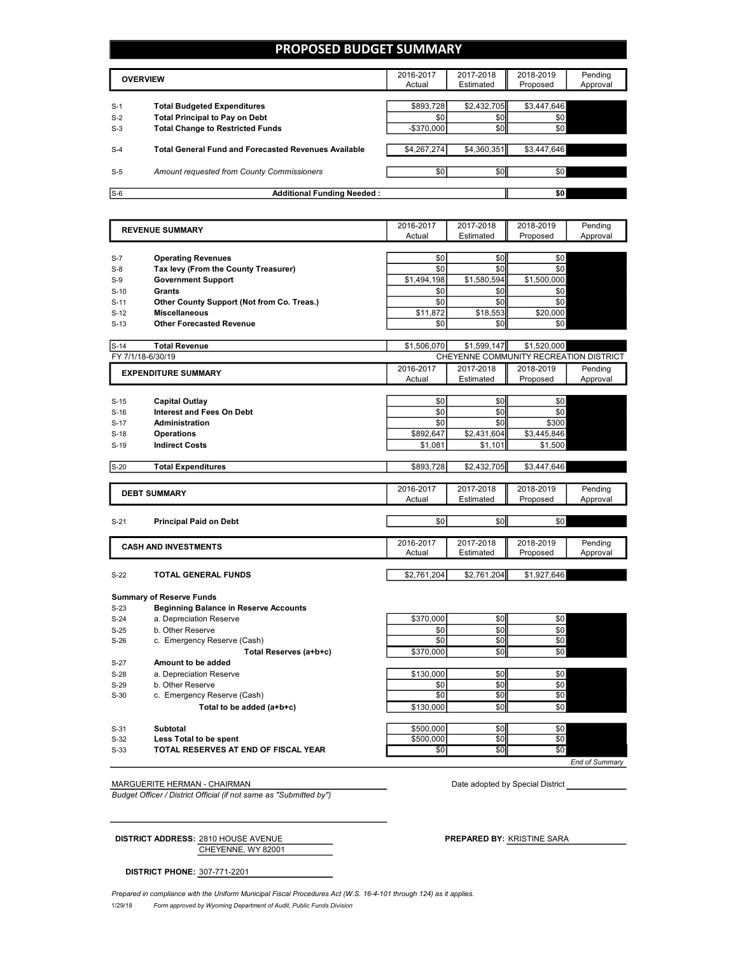# **PROPOSED BUDGET SUMMARY**

| <b>OVERVIEW</b> |                                                             | 2016-2017<br>Actual | 2017-2018<br>Estimated | 2018-2019<br>Proposed | Pending<br>Approval |
|-----------------|-------------------------------------------------------------|---------------------|------------------------|-----------------------|---------------------|
|                 |                                                             |                     |                        |                       |                     |
| $S-1$           | <b>Total Budgeted Expenditures</b>                          | \$893,728           | \$2,432,705            | \$3,447,646           |                     |
| $S-2$           | <b>Total Principal to Pay on Debt</b>                       | \$0                 | \$0                    | \$0                   |                     |
| $S-3$           | <b>Total Change to Restricted Funds</b>                     | $-$ \$370.000       | \$0                    | \$0                   |                     |
|                 |                                                             |                     |                        |                       |                     |
| $S-4$           | <b>Total General Fund and Forecasted Revenues Available</b> | \$4,267,274         | \$4,360,351            | \$3,447,646           |                     |
|                 |                                                             |                     |                        |                       |                     |
| $S-5$           | Amount requested from County Commissioners                  | \$0                 | \$0                    | \$0                   |                     |
|                 |                                                             |                     |                        |                       |                     |
| $S-6$           | <b>Additional Funding Needed:</b>                           |                     |                        | \$0                   |                     |

| <b>REVENUE SUMMARY</b> |                                              | 2016-2017       | 2017-2018   | 2018-2019                              | Pending  |
|------------------------|----------------------------------------------|-----------------|-------------|----------------------------------------|----------|
|                        |                                              | Actual          | Estimated   | Proposed                               | Approval |
|                        |                                              |                 |             |                                        |          |
| $S-7$                  | <b>Operating Revenues</b>                    | \$0             | \$0         | \$0                                    |          |
| $S-8$                  | Tax levy (From the County Treasurer)         | \$0             | \$0         | \$0                                    |          |
| $S-9$                  | <b>Government Support</b>                    | \$1,494,198     | \$1,580,594 | \$1,500,000                            |          |
| $S-10$                 | Grants                                       | \$0             | \$0         | \$0                                    |          |
| $S-11$                 | Other County Support (Not from Co. Treas.)   | \$0             | \$0         | \$0                                    |          |
| $S-12$                 | <b>Miscellaneous</b>                         | \$11,872        | \$18,553    | \$20,000                               |          |
| $S-13$                 | <b>Other Forecasted Revenue</b>              | \$0             | \$0         | \$0                                    |          |
|                        |                                              |                 |             |                                        |          |
| $S-14$                 | <b>Total Revenue</b>                         | \$1,506,070     | \$1,599,147 | \$1,520,000                            |          |
|                        | FY 7/1/18-6/30/19                            |                 |             | CHEYENNE COMMUNITY RECREATION DISTRICT |          |
|                        | <b>EXPENDITURE SUMMARY</b>                   | 2016-2017       | 2017-2018   | 2018-2019                              | Pending  |
|                        |                                              | Actual          | Estimated   | Proposed                               | Approval |
|                        |                                              |                 |             |                                        |          |
| $S-15$                 | <b>Capital Outlay</b>                        | \$0             | \$0         | \$0                                    |          |
| $S-16$                 | Interest and Fees On Debt                    | \$0             | \$0         | \$0                                    |          |
| $S-17$                 | <b>Administration</b>                        | \$0             | \$0         | \$300                                  |          |
| $S-18$                 | <b>Operations</b>                            | \$892,647       | \$2,431,604 | \$3,445,846                            |          |
| $S-19$                 | <b>Indirect Costs</b>                        | \$1,081         | \$1,101     | \$1,500                                |          |
|                        |                                              |                 |             |                                        |          |
| $S-20$                 | <b>Total Expenditures</b>                    | \$893,728       | \$2,432,705 | \$3,447,646                            |          |
|                        |                                              |                 |             |                                        |          |
|                        | <b>DEBT SUMMARY</b>                          | 2016-2017       | 2017-2018   | 2018-2019                              | Pending  |
|                        |                                              | Actual          | Estimated   | Proposed                               | Approval |
|                        |                                              |                 |             |                                        |          |
| $S-21$                 | <b>Principal Paid on Debt</b>                | \$0             | \$0         | \$0                                    |          |
|                        |                                              |                 |             |                                        |          |
|                        | <b>CASH AND INVESTMENTS</b>                  | 2016-2017       | 2017-2018   | 2018-2019                              | Pending  |
|                        |                                              | Actual          | Estimated   | Proposed                               | Approval |
|                        |                                              |                 |             |                                        |          |
| $S-22$                 | <b>TOTAL GENERAL FUNDS</b>                   | \$2,761,204     | \$2,761,204 | \$1,927,646                            |          |
|                        |                                              |                 |             |                                        |          |
|                        | <b>Summary of Reserve Funds</b>              |                 |             |                                        |          |
| $S-23$                 | <b>Beginning Balance in Reserve Accounts</b> |                 |             |                                        |          |
| $S-24$                 | a. Depreciation Reserve                      | \$370,000       | \$0         | \$0                                    |          |
| $S-25$                 | b. Other Reserve                             | \$0             | \$0         | \$0                                    |          |
| $S-26$                 | c. Emergency Reserve (Cash)                  | $\overline{50}$ | \$0         | \$0                                    |          |

#### **Total Reserves (a+b+c)** \$370,000 \$0 \$0 \$0 S-27 **Amount to be added** S-28 a. Depreciation Reserve \$130,000 \$0 \$0 \$0 S-29 b. Other Reserve \$0 \$0 \$0 \$0 S-30 c. Emergency Reserve (Cash) \$0 **Total to be added (a+b+c)**  $$130,000$   $$0$ S-31 **Subtotal** \$500,000 | \$0 \$0 \$0 S-32 **Less Total to be spent** \$500,000 \$0 \$0 \$0 S-33 **TOTAL RESERVES AT END OF FISCAL YEAR** \$0 \$0 \$0 \$0 *End of Summary*

MARGUERITE HERMAN - CHAIRMAN **Date adopted by Special District** 

*Budget Officer / District Official (if not same as "Submitted by")*

CHEYENNE, WY 82001 **DISTRICT ADDRESS:** 2810 HOUSE AVENUE **PREPARED BY:** KRISTINE SARA

**DISTRICT PHONE:** 307-771-2201

1/29/18 *Form approved by Wyoming Department of Audit, Public Funds Division Prepared in compliance with the Uniform Municipal Fiscal Procedures Act (W.S. 16-4-101 through 124) as it applies.*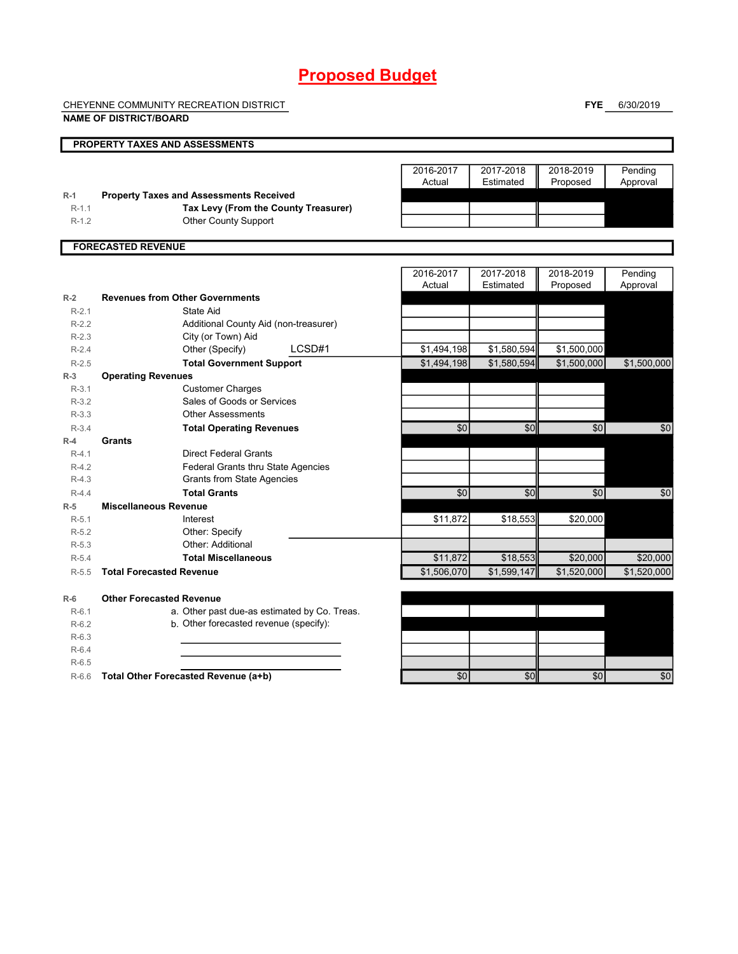# **Proposed Budget**

CHEYENNE COMMUNITY RECREATION DISTRICT

**NAME OF DISTRICT/BOARD**

**FYE** 6/30/2019

|         | <b>PROPERTY TAXES AND ASSESSMENTS</b>          |             |             |             |             |
|---------|------------------------------------------------|-------------|-------------|-------------|-------------|
|         |                                                |             |             |             |             |
|         |                                                | 2016-2017   | 2017-2018   | 2018-2019   | Pending     |
|         |                                                | Actual      | Estimated   | Proposed    | Approval    |
| $R-1$   | <b>Property Taxes and Assessments Received</b> |             |             |             |             |
| $R-1.1$ | Tax Levy (From the County Treasurer)           |             |             |             |             |
| $R-1.2$ | <b>Other County Support</b>                    |             |             |             |             |
|         | <b>FORECASTED REVENUE</b>                      |             |             |             |             |
|         |                                                |             |             |             |             |
|         |                                                | 2016-2017   | 2017-2018   | 2018-2019   | Pending     |
|         |                                                | Actual      | Estimated   | Proposed    | Approval    |
| $R-2$   | <b>Revenues from Other Governments</b>         |             |             |             |             |
| $R-2.1$ | State Aid                                      |             |             |             |             |
| $R-2.2$ | Additional County Aid (non-treasurer)          |             |             |             |             |
| $R-2.3$ | City (or Town) Aid                             |             |             |             |             |
| $R-2.4$ | LCSD#1<br>Other (Specify)                      | \$1,494,198 | \$1,580,594 | \$1,500,000 |             |
| $R-2.5$ | <b>Total Government Support</b>                | \$1,494,198 | \$1,580,594 | \$1,500,000 | \$1,500,000 |
| $R-3$   | <b>Operating Revenues</b>                      |             |             |             |             |
| $R-3.1$ | <b>Customer Charges</b>                        |             |             |             |             |
| $R-3.2$ | Sales of Goods or Services                     |             |             |             |             |
| $R-3.3$ | <b>Other Assessments</b>                       |             |             |             |             |
| $R-3.4$ | <b>Total Operating Revenues</b>                | \$0         | \$0         | \$0         | \$0         |
| $R-4$   | Grants                                         |             |             |             |             |
| $R-4.1$ | <b>Direct Federal Grants</b>                   |             |             |             |             |
| $R-4.2$ | Federal Grants thru State Agencies             |             |             |             |             |
| $R-4.3$ | <b>Grants from State Agencies</b>              |             |             |             |             |
| $R-4.4$ | <b>Total Grants</b>                            | \$0         | \$0         | \$0         | \$0         |
| $R-5$   | <b>Miscellaneous Revenue</b>                   |             |             |             |             |
| $R-5.1$ | Interest                                       | \$11,872    | \$18,553    | \$20,000    |             |
| $R-5.2$ | Other: Specify                                 |             |             |             |             |
| $R-5.3$ | Other: Additional                              |             |             |             |             |
| $R-5.4$ | <b>Total Miscellaneous</b>                     | \$11,872    | \$18,553    | \$20,000    | \$20,000    |
| $R-5.5$ | <b>Total Forecasted Revenue</b>                | \$1,506,070 | \$1,599,147 | \$1,520,000 | \$1.520.000 |
| $R-6$   | <b>Other Forecasted Revenue</b>                |             |             |             |             |
| $R-6.1$ | a. Other past due-as estimated by Co. Treas.   |             |             |             |             |
| $R-6.2$ | b. Other forecasted revenue (specify):         |             |             |             |             |
| $R-6.3$ |                                                |             |             |             |             |
| $R-6.4$ |                                                |             |             |             |             |
| $R-6.5$ |                                                |             |             |             |             |
| $R-6.6$ | Total Other Forecasted Revenue (a+b)           | \$0         | \$0         | \$0         | \$0         |
|         |                                                |             |             |             |             |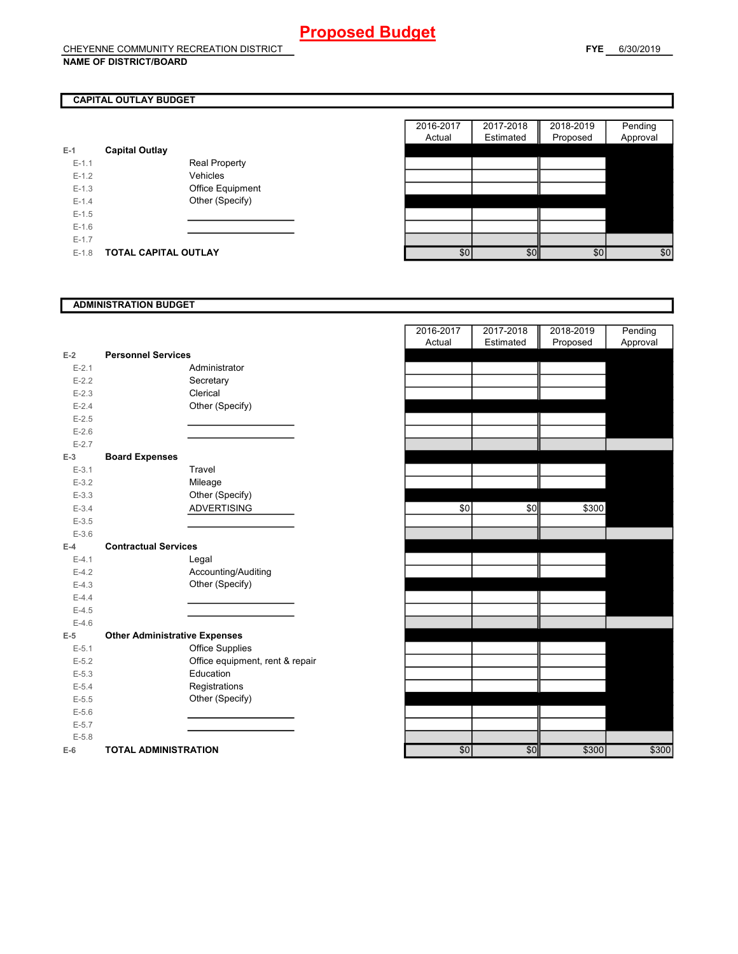# **CAPITAL OUTLAY BUDGET**

| $E-1$     | <b>Capital Outlay</b> |                         |
|-----------|-----------------------|-------------------------|
| $E - 1.1$ |                       | <b>Real Property</b>    |
| $F-12$    |                       | Vehicles                |
| $F-1.3$   |                       | <b>Office Equipment</b> |
| $F-14$    |                       | Other (Specify)         |
| $F-1.5$   |                       |                         |
| $F-16$    |                       |                         |
| $F-17$    |                       |                         |
| $F-1.8$   | TOTAL CAPITAL OUTLAY  |                         |

|         |                             |                      | 2016-2017 | 2017-2018 | 2018-2019 | Pending  |
|---------|-----------------------------|----------------------|-----------|-----------|-----------|----------|
|         |                             |                      | Actual    | Estimated | Proposed  | Approval |
|         | <b>Capital Outlay</b>       |                      |           |           |           |          |
| $E-1.1$ |                             | <b>Real Property</b> |           |           |           |          |
| $E-1.2$ |                             | Vehicles             |           |           |           |          |
| $E-1.3$ |                             | Office Equipment     |           |           |           |          |
| $E-1.4$ |                             | Other (Specify)      |           |           |           |          |
| $E-1.5$ |                             |                      |           |           |           |          |
| $E-1.6$ |                             |                      |           |           |           |          |
| $E-1.7$ |                             |                      |           |           |           |          |
| $E-1.8$ | <b>TOTAL CAPITAL OUTLAY</b> |                      | \$0       | \$0       | \$0       | \$0      |

### **ADMINISTRATION BUDGET**

| $E-2$     | <b>Personnel Services</b>            |
|-----------|--------------------------------------|
| $E - 2.1$ | Administrator                        |
| $E - 2.2$ | Secretary                            |
| $E-2.3$   | Clerical                             |
| $E - 2.4$ | Other (Specify)                      |
| $E - 2.5$ |                                      |
| $E-2.6$   |                                      |
| $E - 2.7$ |                                      |
| E-3       | <b>Board Expenses</b>                |
| $E - 3.1$ | Travel                               |
| $E-3.2$   | Mileage                              |
| $E - 3.3$ | Other (Specify)                      |
| $E - 3.4$ | <b>ADVERTISING</b>                   |
| $E - 3.5$ |                                      |
| $E - 3.6$ |                                      |
| $E-4$     | <b>Contractual Services</b>          |
| $E-4.1$   | Legal                                |
| $E - 4.2$ | Accounting/Auditing                  |
| $E-4.3$   | Other (Specify)                      |
| $E-4.4$   |                                      |
| $E-4.5$   |                                      |
| $E-4.6$   |                                      |
| $E-5$     | <b>Other Administrative Expenses</b> |
| $E - 5.1$ | <b>Office Supplies</b>               |
| $E - 5.2$ | Office equipment, rent & repair      |
| $E - 5.3$ | Education                            |
| $E - 5.4$ | Registrations                        |
| $E - 5.5$ | Other (Specify)                      |
| $E - 5.6$ |                                      |
| $E - 5.7$ |                                      |
| $E - 5.8$ |                                      |
| $E-6$     | <b>TOTAL ADMINISTRATION</b>          |

|           |                                      |                                 | 2016-2017 | 2017-2018 | 2018-2019 | Pending  |
|-----------|--------------------------------------|---------------------------------|-----------|-----------|-----------|----------|
|           |                                      |                                 | Actual    | Estimated | Proposed  | Approval |
| 2         | <b>Personnel Services</b>            |                                 |           |           |           |          |
| $E - 2.1$ |                                      | Administrator                   |           |           |           |          |
| $E - 2.2$ |                                      | Secretary                       |           |           |           |          |
| $E - 2.3$ |                                      | Clerical                        |           |           |           |          |
| $E - 2.4$ |                                      | Other (Specify)                 |           |           |           |          |
| $E - 2.5$ |                                      |                                 |           |           |           |          |
| $E - 2.6$ |                                      |                                 |           |           |           |          |
| $E - 2.7$ |                                      |                                 |           |           |           |          |
| 3         | <b>Board Expenses</b>                |                                 |           |           |           |          |
| $E-3.1$   |                                      | Travel                          |           |           |           |          |
| $E - 3.2$ |                                      | Mileage                         |           |           |           |          |
| $E - 3.3$ |                                      | Other (Specify)                 |           |           |           |          |
| $E - 3.4$ |                                      | <b>ADVERTISING</b>              | \$0       | \$0       | \$300     |          |
| $E - 3.5$ |                                      |                                 |           |           |           |          |
| $E - 3.6$ |                                      |                                 |           |           |           |          |
| ı.        | <b>Contractual Services</b>          |                                 |           |           |           |          |
| $E - 4.1$ |                                      | Legal                           |           |           |           |          |
| $E - 4.2$ |                                      | Accounting/Auditing             |           |           |           |          |
| $E - 4.3$ |                                      | Other (Specify)                 |           |           |           |          |
| $E - 4.4$ |                                      |                                 |           |           |           |          |
| $E - 4.5$ |                                      |                                 |           |           |           |          |
| $E - 4.6$ |                                      |                                 |           |           |           |          |
| 5.        | <b>Other Administrative Expenses</b> |                                 |           |           |           |          |
| $E - 5.1$ |                                      | <b>Office Supplies</b>          |           |           |           |          |
| $E - 5.2$ |                                      | Office equipment, rent & repair |           |           |           |          |
| $E - 5.3$ |                                      | Education                       |           |           |           |          |
| $E - 5.4$ |                                      | Registrations                   |           |           |           |          |
| $E - 5.5$ |                                      | Other (Specify)                 |           |           |           |          |
| $E - 5.6$ |                                      |                                 |           |           |           |          |
| $E - 5.7$ |                                      |                                 |           |           |           |          |
| $E - 5.8$ |                                      |                                 |           |           |           |          |
| ŝ         | <b>TOTAL ADMINISTRATION</b>          |                                 | \$0       | \$0       | \$300     | \$300    |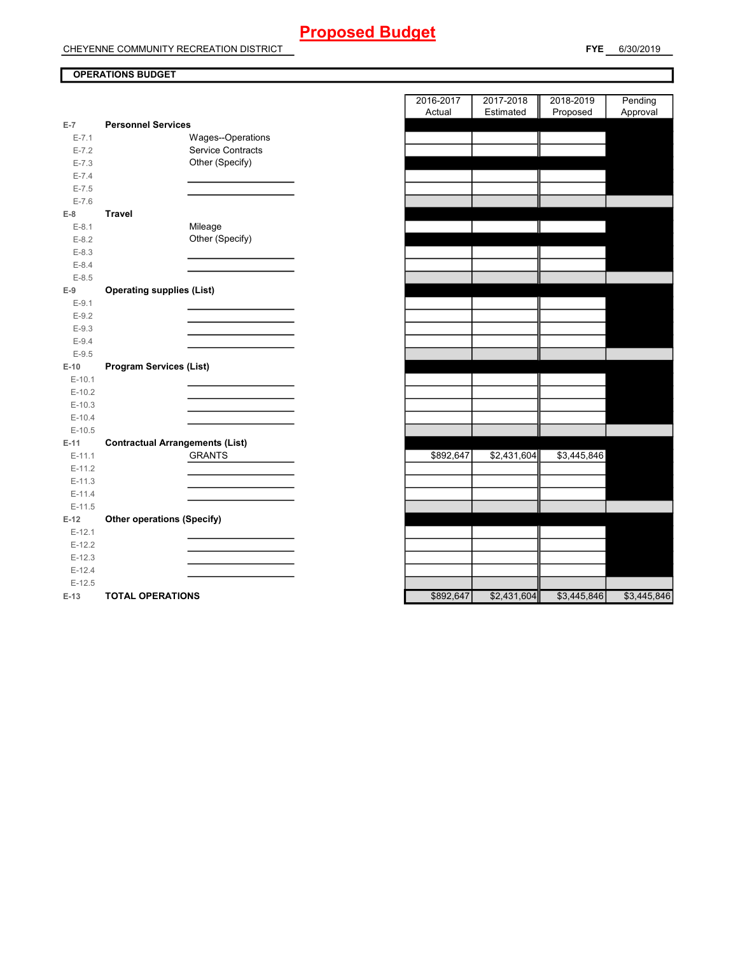# **Proposed Budget**

CHEYENNE COMMUNITY RECREATION DISTRICT

**FYE** 6/30/2019

# **OPERATIONS BUDGET**

|           |                                        | Actual    | Estimated   | Proposed    | Approval    |
|-----------|----------------------------------------|-----------|-------------|-------------|-------------|
| $E-7$     | <b>Personnel Services</b>              |           |             |             |             |
| $E - 7.1$ | Wages--Operations                      |           |             |             |             |
| $E - 7.2$ | Service Contracts                      |           |             |             |             |
| $E - 7.3$ | Other (Specify)                        |           |             |             |             |
| $E - 7.4$ |                                        |           |             |             |             |
| $E - 7.5$ |                                        |           |             |             |             |
| $E - 7.6$ |                                        |           |             |             |             |
| $E-8$     | <b>Travel</b>                          |           |             |             |             |
| $E-8.1$   | Mileage                                |           |             |             |             |
| $E-8.2$   | Other (Specify)                        |           |             |             |             |
| $E - 8.3$ |                                        |           |             |             |             |
| $E - 8.4$ |                                        |           |             |             |             |
| $E - 8.5$ |                                        |           |             |             |             |
| $E-9$     | <b>Operating supplies (List)</b>       |           |             |             |             |
| $E-9.1$   |                                        |           |             |             |             |
| $E-9.2$   |                                        |           |             |             |             |
| $E-9.3$   |                                        |           |             |             |             |
| $E-9.4$   |                                        |           |             |             |             |
| $E-9.5$   |                                        |           |             |             |             |
| $E-10$    | <b>Program Services (List)</b>         |           |             |             |             |
| $E-10.1$  |                                        |           |             |             |             |
| $E-10.2$  |                                        |           |             |             |             |
| $E-10.3$  |                                        |           |             |             |             |
| $E-10.4$  |                                        |           |             |             |             |
| $E-10.5$  |                                        |           |             |             |             |
| $E-11$    | <b>Contractual Arrangements (List)</b> |           |             |             |             |
| $E-11.1$  | <b>GRANTS</b>                          | \$892,647 | \$2,431,604 | \$3,445,846 |             |
| $E-11.2$  |                                        |           |             |             |             |
| $E-11.3$  |                                        |           |             |             |             |
| $E-11.4$  |                                        |           |             |             |             |
| $E-11.5$  |                                        |           |             |             |             |
| $E-12$    | <b>Other operations (Specify)</b>      |           |             |             |             |
| $E-12.1$  |                                        |           |             |             |             |
| $E-12.2$  |                                        |           |             |             |             |
| $E-12.3$  |                                        |           |             |             |             |
| $E-12.4$  |                                        |           |             |             |             |
| $E-12.5$  |                                        |           |             |             |             |
| $E-13$    | <b>TOTAL OPERATIONS</b>                | \$892,647 | \$2,431,604 | \$3,445,846 | \$3,445,846 |

|                |                                        |                   | 2016-2017<br>Actual | 2017-2018<br>Estimated | 2018-2019<br>Proposed | Pending          |
|----------------|----------------------------------------|-------------------|---------------------|------------------------|-----------------------|------------------|
| $\overline{7}$ | <b>Personnel Services</b>              |                   |                     |                        |                       | Approval         |
| $E - 7.1$      |                                        | Wages--Operations |                     |                        |                       |                  |
| $E - 7.2$      |                                        | Service Contracts |                     |                        |                       |                  |
| $E - 7.3$      |                                        | Other (Specify)   |                     |                        |                       |                  |
| $E - 7.4$      |                                        |                   |                     |                        |                       |                  |
| $E - 7.5$      |                                        |                   |                     |                        |                       |                  |
| $E - 7.6$      |                                        |                   |                     |                        |                       |                  |
| 8              | <b>Travel</b>                          |                   |                     |                        |                       |                  |
| $E-8.1$        |                                        | Mileage           |                     |                        |                       |                  |
| $E-8.2$        |                                        | Other (Specify)   |                     |                        |                       |                  |
| $E-8.3$        |                                        |                   |                     |                        |                       |                  |
| $E - 8.4$      |                                        |                   |                     |                        |                       |                  |
| $E - 8.5$      |                                        |                   |                     |                        |                       |                  |
| 9              | <b>Operating supplies (List)</b>       |                   |                     |                        |                       |                  |
| $E-9.1$        |                                        |                   |                     |                        |                       |                  |
| $E-9.2$        |                                        |                   |                     |                        |                       |                  |
| $E - 9.3$      |                                        |                   |                     |                        |                       |                  |
| $E-9.4$        |                                        |                   |                     |                        |                       |                  |
| $E-9.5$        |                                        |                   |                     |                        |                       |                  |
| $-10$          | <b>Program Services (List)</b>         |                   |                     |                        |                       |                  |
| $E-10.1$       |                                        |                   |                     |                        |                       |                  |
| $E-10.2$       |                                        |                   |                     |                        |                       |                  |
| $E-10.3$       |                                        |                   |                     |                        |                       |                  |
| $E-10.4$       |                                        |                   |                     |                        |                       |                  |
| $E-10.5$       |                                        |                   |                     |                        |                       |                  |
| -11            | <b>Contractual Arrangements (List)</b> |                   |                     |                        |                       |                  |
| $E-11.1$       |                                        | <b>GRANTS</b>     | \$892,647           | \$2,431,604            | \$3,445,846           |                  |
| $E-11.2$       |                                        |                   |                     |                        |                       |                  |
| $E-11.3$       |                                        |                   |                     |                        |                       |                  |
| $E-11.4$       |                                        |                   |                     |                        |                       |                  |
| $E-11.5$       |                                        |                   |                     |                        |                       |                  |
| 12             | <b>Other operations (Specify)</b>      |                   |                     |                        |                       |                  |
| $E-12.1$       |                                        |                   |                     |                        |                       |                  |
| $E-12.2$       |                                        |                   |                     |                        |                       |                  |
| $E-12.3$       |                                        |                   |                     |                        |                       |                  |
| $E-12.4$       |                                        |                   |                     |                        |                       |                  |
| $E-12.5$       |                                        |                   |                     |                        |                       |                  |
| 42             | TOTAL OPERATIONS                       |                   | RQQQR17             | \$2431604              | R3115816              | $C3$ $AAB$ $BAB$ |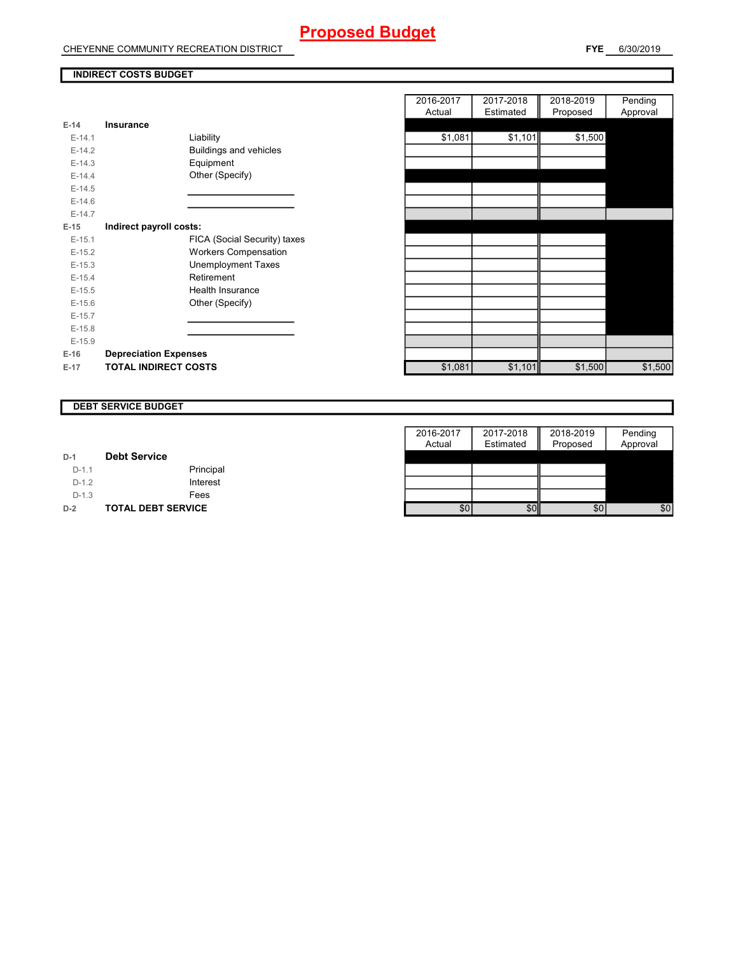# **Proposed Budget**

CHEYENNE COMMUNITY RECREATION DISTRICT

## **INDIRECT COSTS BUDGET**

| E-14     | Insurance                     |
|----------|-------------------------------|
| $F-14.1$ | Liability                     |
| $F-142$  | <b>Buildings and vehicles</b> |
| $E-14.3$ | Equipment                     |
| $F-144$  | Other (Specify)               |
| $F-14.5$ |                               |
| $E-14.6$ |                               |
| $F-147$  |                               |
| $E-15$   | Indirect payroll costs:       |
| $E-15.1$ | FICA (Social Security) taxes  |
| $E-15.2$ | <b>Workers Compensation</b>   |
| $E-15.3$ | Unemployment Taxes            |
| $E-15.4$ | Retirement                    |
| $F-15.5$ | Health Insurance              |
| $E-15.6$ | Other (Specify)               |
| $E-15.7$ |                               |
| $F-15.8$ |                               |
| $E-15.9$ |                               |
| $E-16$   | <b>Depreciation Expenses</b>  |
| $E-17$   | <b>TOTAL INDIRECT COSTS</b>   |

|          |                              | 2016-2017 | 2017-2018 | 2018-2019 | Pending  |
|----------|------------------------------|-----------|-----------|-----------|----------|
|          |                              | Actual    | Estimated | Proposed  | Approval |
| $E-14$   | Insurance                    |           |           |           |          |
| $E-14.1$ | Liability                    | \$1,081   | \$1,101   | \$1,500   |          |
| $E-14.2$ | Buildings and vehicles       |           |           |           |          |
| $E-14.3$ | Equipment                    |           |           |           |          |
| $E-14.4$ | Other (Specify)              |           |           |           |          |
| $E-14.5$ |                              |           |           |           |          |
| $E-14.6$ |                              |           |           |           |          |
| $E-14.7$ |                              |           |           |           |          |
| $E-15$   | Indirect payroll costs:      |           |           |           |          |
| $E-15.1$ | FICA (Social Security) taxes |           |           |           |          |
| $E-15.2$ | <b>Workers Compensation</b>  |           |           |           |          |
| $E-15.3$ | <b>Unemployment Taxes</b>    |           |           |           |          |
| $E-15.4$ | Retirement                   |           |           |           |          |
| $E-15.5$ | Health Insurance             |           |           |           |          |
| $E-15.6$ | Other (Specify)              |           |           |           |          |
| $E-15.7$ |                              |           |           |           |          |
| $E-15.8$ |                              |           |           |           |          |
| $E-15.9$ |                              |           |           |           |          |
| E-16     | <b>Depreciation Expenses</b> |           |           |           |          |
| E-17     | <b>TOTAL INDIRECT COSTS</b>  | \$1,081   | \$1,101   | \$1,500   | \$1,500  |
|          |                              |           |           |           |          |

#### **DEBT SERVICE BUDGET**

|         |                           | 2016-2017 | 2017-2018 | 2018-2019 | Pending  |
|---------|---------------------------|-----------|-----------|-----------|----------|
|         |                           | Actual    | Estimated | Proposed  | Approval |
| $D-1$   | <b>Debt Service</b>       |           |           |           |          |
| $D-1.1$ | Principal                 |           |           |           |          |
| $D-1.2$ | Interest                  |           |           |           |          |
| $D-1.3$ | Fees                      |           |           |           |          |
| $D-2$   | <b>TOTAL DEBT SERVICE</b> | \$0       | \$0       | \$0       | \$0      |